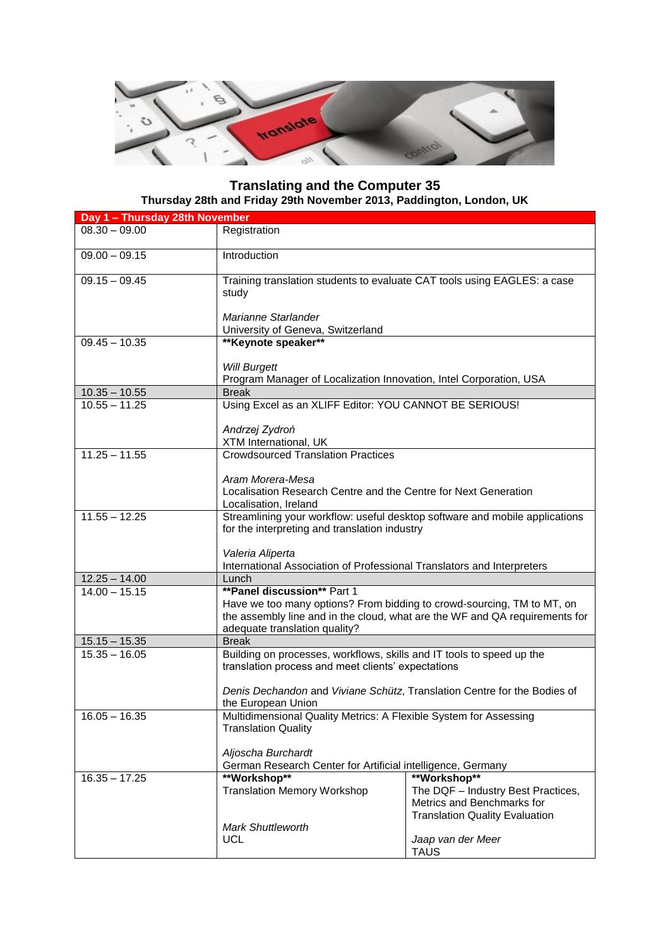

## **Translating and the Computer 35 Thursday 28th and Friday 29th November 2013, Paddington, London, UK**

| Day 1 - Thursday 28th November |                                                                                           |                                                                             |  |
|--------------------------------|-------------------------------------------------------------------------------------------|-----------------------------------------------------------------------------|--|
| $08.30 - 09.00$                | Registration                                                                              |                                                                             |  |
| $09.00 - 09.15$                | Introduction                                                                              |                                                                             |  |
| $09.15 - 09.45$                | Training translation students to evaluate CAT tools using EAGLES: a case<br>study         |                                                                             |  |
|                                | Marianne Starlander<br>University of Geneva, Switzerland                                  |                                                                             |  |
| $09.45 - 10.35$                | ** Keynote speaker**                                                                      |                                                                             |  |
|                                | <b>Will Burgett</b><br>Program Manager of Localization Innovation, Intel Corporation, USA |                                                                             |  |
| $10.35 - 10.55$                | <b>Break</b>                                                                              |                                                                             |  |
| $10.55 - 11.25$                |                                                                                           |                                                                             |  |
|                                | Using Excel as an XLIFF Editor: YOU CANNOT BE SERIOUS!                                    |                                                                             |  |
|                                | Andrzej Zydroń<br>XTM International, UK                                                   |                                                                             |  |
| $11.25 - 11.55$                | <b>Crowdsourced Translation Practices</b>                                                 |                                                                             |  |
|                                | Aram Morera-Mesa                                                                          |                                                                             |  |
|                                | Localisation Research Centre and the Centre for Next Generation                           |                                                                             |  |
|                                | Localisation, Ireland                                                                     |                                                                             |  |
| $11.55 - 12.25$                | Streamlining your workflow: useful desktop software and mobile applications               |                                                                             |  |
|                                | for the interpreting and translation industry                                             |                                                                             |  |
|                                |                                                                                           |                                                                             |  |
|                                | Valeria Aliperta                                                                          |                                                                             |  |
|                                | International Association of Professional Translators and Interpreters                    |                                                                             |  |
| $12.25 - 14.00$                | Lunch                                                                                     |                                                                             |  |
| $14.00 - 15.15$                | <b>**Panel discussion** Part 1</b>                                                        |                                                                             |  |
|                                | Have we too many options? From bidding to crowd-sourcing, TM to MT, on                    |                                                                             |  |
|                                |                                                                                           | the assembly line and in the cloud, what are the WF and QA requirements for |  |
|                                | adequate translation quality?                                                             |                                                                             |  |
| $15.15 - 15.35$                | <b>Break</b>                                                                              |                                                                             |  |
| $15.35 - 16.05$                | Building on processes, workflows, skills and IT tools to speed up the                     |                                                                             |  |
|                                | translation process and meet clients' expectations                                        |                                                                             |  |
|                                | Denis Dechandon and Viviane Schütz, Translation Centre for the Bodies of                  |                                                                             |  |
|                                |                                                                                           |                                                                             |  |
|                                | the European Union                                                                        |                                                                             |  |
| $16.05 - 16.35$                | Multidimensional Quality Metrics: A Flexible System for Assessing                         |                                                                             |  |
|                                | <b>Translation Quality</b>                                                                |                                                                             |  |
|                                | Aljoscha Burchardt                                                                        |                                                                             |  |
|                                | German Research Center for Artificial intelligence, Germany                               |                                                                             |  |
| $16.35 - 17.25$                | **Workshop**                                                                              | **Workshop**                                                                |  |
|                                | <b>Translation Memory Workshop</b>                                                        | The DQF - Industry Best Practices,                                          |  |
|                                |                                                                                           | Metrics and Benchmarks for                                                  |  |
|                                |                                                                                           | <b>Translation Quality Evaluation</b>                                       |  |
|                                | <b>Mark Shuttleworth</b>                                                                  |                                                                             |  |
|                                | <b>UCL</b>                                                                                | Jaap van der Meer                                                           |  |
|                                |                                                                                           | <b>TAUS</b>                                                                 |  |